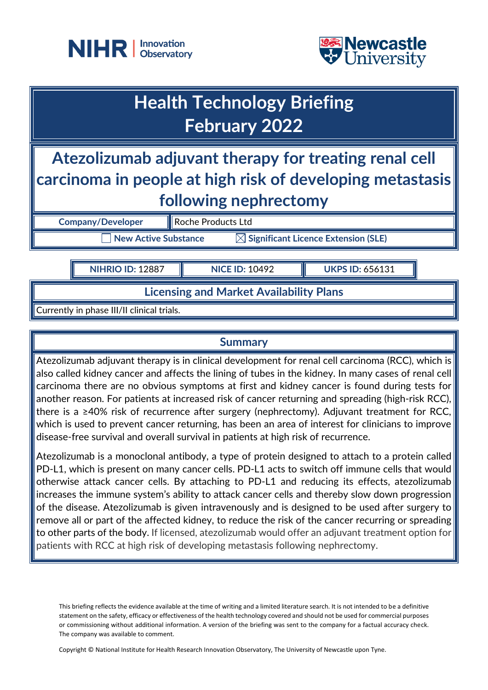



# **Health Technology Briefing February 2022**

## **Atezolizumab adjuvant therapy for treating renal cell carcinoma in people at high risk of developing metastasis following nephrectomy**

**Company/Developer** Roche Products Ltd

**New Active Substance Substance Significant Licence Extension (SLE)** 

**NIHRIO ID:** 12887 **NICE ID:** 10492 **UKPS ID:** 656131

## **Licensing and Market Availability Plans**

Currently in phase III/II clinical trials.

## **Summary**

Atezolizumab adjuvant therapy is in clinical development for renal cell carcinoma (RCC), which is  $\parallel$ also called kidney cancer and affects the lining of tubes in the kidney. In many cases of renal cell carcinoma there are no obvious symptoms at first and kidney cancer is found during tests for another reason. For patients at increased risk of cancer returning and spreading (high‐risk RCC), there is a ≥40% risk of recurrence after surgery (nephrectomy). Adjuvant treatment for RCC, which is used to prevent cancer returning, has been an area of interest for clinicians to improve disease‐free survival and overall survival in patients at high risk of recurrence.

Atezolizumab is a monoclonal antibody, a type of protein designed to attach to a protein called PD-L1, which is present on many cancer cells. PD-L1 acts to switch off immune cells that would otherwise attack cancer cells. By attaching to PD-L1 and reducing its effects, atezolizumab increases the immune system's ability to attack cancer cells and thereby slow down progression of the disease. Atezolizumab is given intravenously and is designed to be used after surgery to remove all or part of the affected kidney, to reduce the risk of the cancer recurring or spreading to other parts of the body. If licensed, atezolizumab would offer an adjuvant treatment option for patients with RCC at high risk of developing metastasis following nephrectomy.

This briefing reflects the evidence available at the time of writing and a limited literature search. It is not intended to be a definitive statement on the safety, efficacy or effectiveness of the health technology covered and should not be used for commercial purposes or commissioning without additional information. A version of the briefing was sent to the company for a factual accuracy check. The company was available to comment.

Copyright © National Institute for Health Research Innovation Observatory, The University of Newcastle upon Tyne.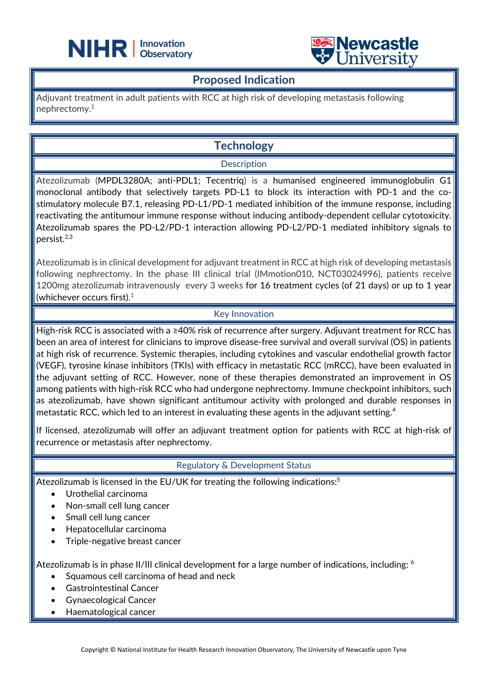



#### **Proposed Indication**

Adjuvant treatment in adult patients with RCC at high risk of developing metastasis following nephrectomy. 1

L

## **Technology**

#### **Description**

Atezolizumab (MPDL3280A; anti-PDL1; Tecentriq) is a humanised engineered immunoglobulin G1 monoclonal antibody that selectively targets PD-L1 to block its interaction with PD-1 and the costimulatory molecule B7.1, releasing PD-L1/PD-1 mediated inhibition of the immune response, including reactivating the antitumour immune response without inducing antibody-dependent cellular cytotoxicity. Atezolizumab spares the PD-L2/PD-1 interaction allowing PD-L2/PD-1 mediated inhibitory signals to persist. 2,3

Atezolizumab is in clinical development for adjuvant treatment in RCC at high risk of developing metastasis following nephrectomy. In the phase III clinical trial (IMmotion010, [NCT03024996\)](https://clinicaltrials.gov/ct2/show/NCT03024996), patients receive 1200mg atezolizumab intravenously every 3 weeks for 16 treatment cycles (of 21 days) or up to 1 year (whichever occurs first). $^{\rm 1}$ 

#### Key Innovation

High-risk RCC is associated with a ≥40% risk of recurrence after surgery. Adjuvant treatment for RCC has been an area of interest for clinicians to improve disease-free survival and overall survival (OS) in patients at high risk of recurrence. Systemic therapies, including cytokines and vascular endothelial growth factor (VEGF), tyrosine kinase inhibitors (TKIs) with efficacy in metastatic RCC (mRCC), have been evaluated in the adjuvant setting of RCC. However, none of these therapies demonstrated an improvement in OS among patients with high‐risk RCC who had undergone nephrectomy. Immune checkpoint inhibitors, such as atezolizumab, have shown significant antitumour activity with prolonged and durable responses in metastatic RCC, which led to an interest in evaluating these agents in the adjuvant setting.<sup>4</sup>

If licensed, atezolizumab will offer an adjuvant treatment option for patients with RCC at high-risk of recurrence or metastasis after nephrectomy.

#### Regulatory & Development Status

Atezolizumab is licensed in the EU/UK for treating the following indications: 5

- Urothelial carcinoma
- Non-small cell lung cancer
- Small cell lung cancer
- Hepatocellular carcinoma
- Triple-negative breast cancer

Atezolizumab is in phase II/III clinical development for a large number of indications, including: <sup>6</sup>

- Squamous cell carcinoma of head and neck
- Gastrointestinal Cancer
- Gynaecological Cancer
- Haematological cancer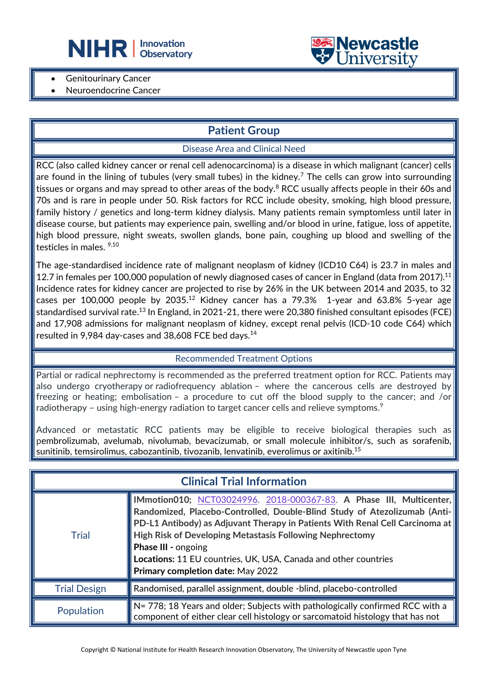



- **Genitourinary Cancer**
- Neuroendocrine Cancer

## **Patient Group**

L

#### Disease Area and Clinical Need

RCC (also called kidney cancer or renal cell adenocarcinoma) is a disease in which malignant (cancer) cells are found in the lining of tubules (very small tubes) in the kidney.<sup>7</sup> The cells can grow into surrounding tissues or organs and may spread to other areas of the body.<sup>8</sup> RCC usually affects people in their 60s and 70s and is rare in people under 50. Risk factors for RCC include obesity, smoking, high blood pressure, family history / genetics and long-term kidney dialysis. Many patients remain symptomless until later in disease course, but patients may experience pain, swelling and/or blood in urine, fatigue, loss of appetite, high blood pressure, night sweats, swollen glands, bone pain, coughing up blood and swelling of the testicles in males. 9,10

The age-standardised incidence rate of malignant neoplasm of kidney (ICD10 C64) is 23.7 in males and 12.7 in females per 100,000 population of newly diagnosed cases of cancer in England (data from 2017).<sup>11</sup> Incidence rates for kidney cancer are projected to rise by 26% in the UK between 2014 and 2035, to 32 cases per 100,000 people by 2035.<sup>12</sup> Kidney cancer has a 79.3% 1-year and 63.8% 5-year age standardised survival rate.<sup>13</sup> In England, in 2021-21, there were 20,380 finished consultant episodes (FCE) and 17,908 admissions for malignant neoplasm of kidney, except renal pelvis (ICD-10 code C64) which resulted in 9,984 day-cases and 38,608 FCE bed days.<sup>14</sup>

#### Recommended Treatment Options

Partial or radical nephrectomy is recommended as the preferred treatment option for RCC. Patients may also undergo cryotherapy or radiofrequency ablation – where the cancerous cells are destroyed by freezing or heating; embolisation – a procedure to cut off the blood supply to the cancer; and /or [radiotherapy](https://www.nhs.uk/conditions/radiotherapy/) – using high-energy radiation to target cancer cells and relieve symptoms. $\rm ^9$ 

Advanced or metastatic RCC patients may be eligible to receive biological therapies such as pembrolizumab, avelumab, nivolumab, bevacizumab, or small molecule inhibitor/s, such as sorafenib, sunitinib, temsirolimus, cabozantinib, tivozanib, lenvatinib, everolimus or axitinib. 15

| <b>Clinical Trial Information</b> |                                                                                                                                                                                                                                                                                                                                                                                                                                           |  |
|-----------------------------------|-------------------------------------------------------------------------------------------------------------------------------------------------------------------------------------------------------------------------------------------------------------------------------------------------------------------------------------------------------------------------------------------------------------------------------------------|--|
| <b>Trial</b>                      | IMmotion010; NCT03024996. 2018-000367-83. A Phase III, Multicenter,<br>Randomized, Placebo-Controlled, Double-Blind Study of Atezolizumab (Anti-<br>PD-L1 Antibody) as Adjuvant Therapy in Patients With Renal Cell Carcinoma at<br><b>High Risk of Developing Metastasis Following Nephrectomy</b><br><b>Phase III - ongoing</b><br>Locations: 11 EU countries, UK, USA, Canada and other countries<br>Primary completion date: May 2022 |  |
| <b>Trial Design</b>               | Randomised, parallel assignment, double -blind, placebo-controlled                                                                                                                                                                                                                                                                                                                                                                        |  |
| Population                        | N= 778; 18 Years and older; Subjects with pathologically confirmed RCC with a<br>component of either clear cell histology or sarcomatoid histology that has not                                                                                                                                                                                                                                                                           |  |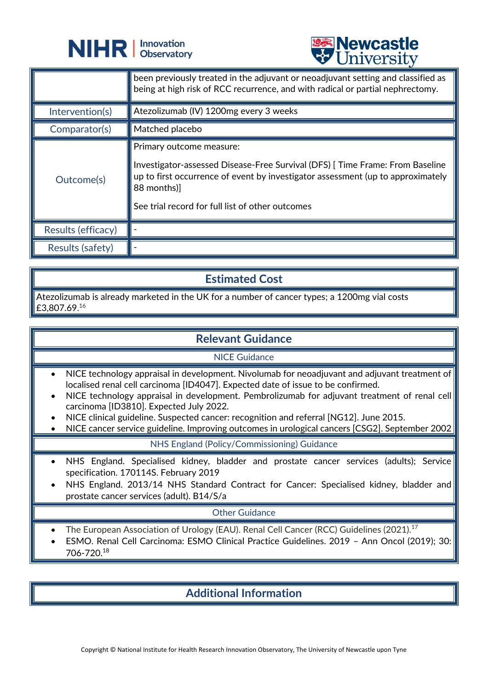



|                    | <b>CITTACT DIA</b>                                                                                                                                                                                                                                            |
|--------------------|---------------------------------------------------------------------------------------------------------------------------------------------------------------------------------------------------------------------------------------------------------------|
|                    | been previously treated in the adjuvant or neoadjuvant setting and classified as<br>being at high risk of RCC recurrence, and with radical or partial nephrectomy.                                                                                            |
| Intervention(s)    | Atezolizumab (IV) 1200mg every 3 weeks                                                                                                                                                                                                                        |
| Comparator(s)      | Matched placebo                                                                                                                                                                                                                                               |
| Outcome(s)         | Primary outcome measure:<br>Investigator-assessed Disease-Free Survival (DFS) [Time Frame: From Baseline<br>up to first occurrence of event by investigator assessment (up to approximately<br>88 months)<br>See trial record for full list of other outcomes |
| Results (efficacy) |                                                                                                                                                                                                                                                               |
| Results (safety)   |                                                                                                                                                                                                                                                               |

## **Estimated Cost**

Atezolizumab is already marketed in the UK for a number of cancer types; a 1200mg vial costs  $£3,807.69.^{16}$ 

#### **Relevant Guidance**

#### NICE Guidance

- NICE technology appraisal in development. Nivolumab for neoadjuvant and adjuvant treatment of localised renal cell carcinoma [ID4047]. Expected date of issue to be confirmed.
- NICE technology appraisal in development. Pembrolizumab for adjuvant treatment of renal cell carcinoma [ID3810]. Expected July 2022.
- NICE clinical guideline. Suspected cancer: recognition and referral [NG12]. June 2015.
- NICE cancer service guideline. Improving outcomes in urological cancers [CSG2]. September 2002

NHS England (Policy/Commissioning) Guidance

- NHS England. Specialised kidney, bladder and prostate cancer services (adults); Service specification. 170114S. February 2019
- NHS England. 2013/14 NHS Standard Contract for Cancer: Specialised kidney, bladder and prostate cancer services (adult). B14/S/a

#### Other Guidance

- The European Association of Urology (EAU). Renal Cell Cancer (RCC) Guidelines (2021).<sup>17</sup>
- ESMO. Renal Cell Carcinoma: ESMO Clinical Practice Guidelines. 2019 Ann Oncol (2019); 30: 706-720.<sup>18</sup>

## **Additional Information**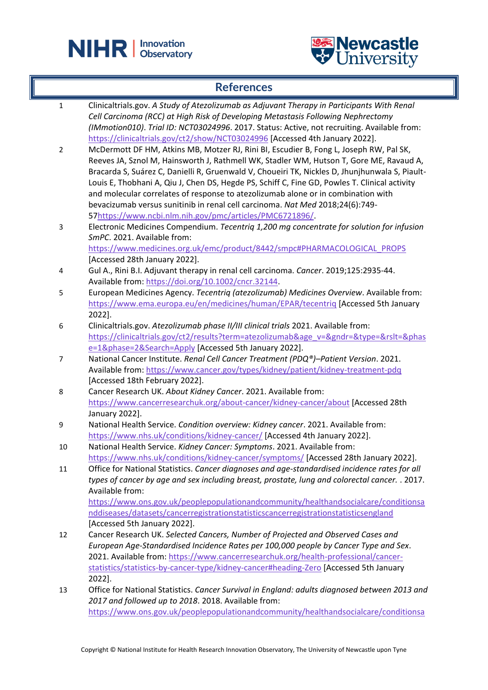



## **References**

| $\mathbf{1}$   | Clinicaltrials.gov. A Study of Atezolizumab as Adjuvant Therapy in Participants With Renal     |
|----------------|------------------------------------------------------------------------------------------------|
|                | Cell Carcinoma (RCC) at High Risk of Developing Metastasis Following Nephrectomy               |
|                | (IMmotion010). Trial ID: NCT03024996. 2017. Status: Active, not recruiting. Available from:    |
|                | https://clinicaltrials.gov/ct2/show/NCT03024996 [Accessed 4th January 2022].                   |
| $\overline{2}$ | McDermott DF HM, Atkins MB, Motzer RJ, Rini BI, Escudier B, Fong L, Joseph RW, Pal SK,         |
|                | Reeves JA, Sznol M, Hainsworth J, Rathmell WK, Stadler WM, Hutson T, Gore ME, Ravaud A,        |
|                | Bracarda S, Suárez C, Danielli R, Gruenwald V, Choueiri TK, Nickles D, Jhunjhunwala S, Piault- |
|                | Louis E, Thobhani A, Qiu J, Chen DS, Hegde PS, Schiff C, Fine GD, Powles T. Clinical activity  |
|                | and molecular correlates of response to atezolizumab alone or in combination with              |
|                | bevacizumab versus sunitinib in renal cell carcinoma. Nat Med 2018;24(6):749-                  |
|                | 57https://www.ncbi.nlm.nih.gov/pmc/articles/PMC6721896/.                                       |
| 3              | Electronic Medicines Compendium. Tecentriq 1,200 mg concentrate for solution for infusion      |
|                | SmPC. 2021. Available from:                                                                    |
|                | https://www.medicines.org.uk/emc/product/8442/smpc#PHARMACOLOGICAL PROPS                       |
|                | [Accessed 28th January 2022].                                                                  |
| 4              | Gul A., Rini B.I. Adjuvant therapy in renal cell carcinoma. Cancer. 2019;125:2935-44.          |
|                | Available from: https://doi.org/10.1002/cncr.32144.                                            |
| 5              | European Medicines Agency. Tecentriq (atezolizumab) Medicines Overview. Available from:        |
|                | https://www.ema.europa.eu/en/medicines/human/EPAR/tecentriq [Accessed 5th January              |
|                | 2022].                                                                                         |
| 6              | Clinicaltrials.gov. Atezolizumab phase II/III clinical trials 2021. Available from:            |
|                | https://clinicaltrials.gov/ct2/results?term=atezolizumab&age_v=&gndr=&type=&rslt=&phas         |
|                | e=1&phase=2&Search=Apply [Accessed 5th January 2022].                                          |
| 7              | National Cancer Institute. Renal Cell Cancer Treatment (PDQ®)-Patient Version. 2021.           |
|                | Available from: https://www.cancer.gov/types/kidney/patient/kidney-treatment-pdg               |
|                | [Accessed 18th February 2022].                                                                 |
| 8              | Cancer Research UK. About Kidney Cancer. 2021. Available from:                                 |
|                | https://www.cancerresearchuk.org/about-cancer/kidney-cancer/about [Accessed 28th               |
|                | January 2022].                                                                                 |
| 9              | National Health Service. Condition overview: Kidney cancer. 2021. Available from:              |
|                | https://www.nhs.uk/conditions/kidney-cancer/ [Accessed 4th January 2022].                      |
| 10             | National Health Service. Kidney Cancer: Symptoms. 2021. Available from:                        |
|                | https://www.nhs.uk/conditions/kidney-cancer/symptoms/ [Accessed 28th January 2022].            |
| 11             | Office for National Statistics. Cancer diagnoses and age-standardised incidence rates for all  |
|                | types of cancer by age and sex including breast, prostate, lung and colorectal cancer. . 2017. |
|                | Available from:                                                                                |
|                | https://www.ons.gov.uk/peoplepopulationandcommunity/healthandsocialcare/conditionsa            |
|                | nddiseases/datasets/cancerregistrationstatisticscancerregistrationstatisticsengland            |
|                | [Accessed 5th January 2022].                                                                   |
| 12             | Cancer Research UK. Selected Cancers, Number of Projected and Observed Cases and               |
|                | European Age-Standardised Incidence Rates per 100,000 people by Cancer Type and Sex.           |
|                | 2021. Available from: https://www.cancerresearchuk.org/health-professional/cancer-             |
|                | statistics/statistics-by-cancer-type/kidney-cancer#heading-Zero [Accessed 5th January          |
|                | 2022].                                                                                         |
| 13             | Office for National Statistics. Cancer Survival in England: adults diagnosed between 2013 and  |
|                | 2017 and followed up to 2018. 2018. Available from:                                            |
|                | https://www.ons.gov.uk/peoplepopulationandcommunity/healthandsocialcare/conditionsa            |
|                |                                                                                                |